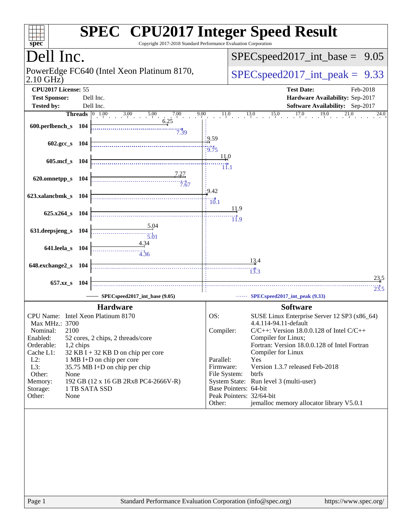| spec <sup>®</sup>                           |                                                                       | Copyright 2017-2018 Standard Performance Evaluation Corporation | <b>SPEC<sup>®</sup></b> CPU2017 Integer Speed Result                              |
|---------------------------------------------|-----------------------------------------------------------------------|-----------------------------------------------------------------|-----------------------------------------------------------------------------------|
| Dell Inc.                                   |                                                                       |                                                                 | $SPEC speed2017\_int\_base =$<br>9.05                                             |
| $2.10$ GHz)                                 | PowerEdge FC640 (Intel Xeon Platinum 8170,                            |                                                                 | $SPEC speed2017\_int\_peak = 9.33$                                                |
| CPU2017 License: 55<br><b>Test Sponsor:</b> | Dell Inc.                                                             |                                                                 | <b>Test Date:</b><br>Feb-2018<br>Hardware Availability: Sep-2017                  |
| <b>Tested by:</b>                           | Dell Inc.                                                             |                                                                 | Software Availability: Sep-2017                                                   |
|                                             | <b>Threads</b> $\begin{vmatrix} 0 & 1.00 & 3.00 & 5.00 \end{vmatrix}$ | 7.00<br>9.00                                                    | 17.0<br>$\frac{19.0}{1}$<br>15.0<br>21.0<br>11.0<br>13.0<br>24.0                  |
| 600.perlbench_s 104                         |                                                                       | 6.25<br>7.39                                                    |                                                                                   |
| $602.\text{gcc s}$ 104                      |                                                                       | 19.59<br>19.75                                                  | 11.0                                                                              |
| 605.mcf_s 104                               |                                                                       |                                                                 | 11.1                                                                              |
| 620.omnetpp_s 104                           |                                                                       | 7.67<br>19.42                                                   |                                                                                   |
| 623.xalancbmk_s 104                         |                                                                       | $\dddot{10.1}$                                                  | 11.9                                                                              |
| 625.x264_s 104                              |                                                                       | 5.04                                                            | 11.9                                                                              |
| 631.deepsjeng_s 104                         | 4.34                                                                  | 5.01                                                            |                                                                                   |
| 641.leela_s 104                             | 4.36                                                                  |                                                                 |                                                                                   |
| 648.exchange2_s 104                         |                                                                       |                                                                 | 13.4<br>13.3                                                                      |
| 657.xz_s                                    | 104                                                                   |                                                                 | 23.5                                                                              |
|                                             | SPECspeed2017_int_base (9.05)                                         |                                                                 | 23.5<br>SPECspeed2017_int_peak (9.33)                                             |
|                                             | <b>Hardware</b>                                                       |                                                                 | <b>Software</b>                                                                   |
| Max MHz.: 3700                              | CPU Name: Intel Xeon Platinum 8170                                    | OS:                                                             | SUSE Linux Enterprise Server 12 SP3 (x86_64)<br>4.4.114-94.11-default             |
| 2100<br>Nominal:<br>Enabled:                | 52 cores, 2 chips, 2 threads/core                                     |                                                                 | Compiler:<br>$C/C++$ : Version 18.0.0.128 of Intel $C/C++$<br>Compiler for Linux; |
| Orderable:<br>Cache L1:                     | 1,2 chips<br>$32$ KB I + 32 KB D on chip per core                     |                                                                 | Fortran: Version 18.0.0.128 of Intel Fortran<br>Compiler for Linux                |
| $L2$ :                                      | 1 MB I+D on chip per core                                             | Parallel:                                                       | Yes                                                                               |
| L3:<br>Other:<br>None                       | 35.75 MB I+D on chip per chip                                         |                                                                 | Version 1.3.7 released Feb-2018<br>Firmware:<br>File System:<br>btrfs             |
| Memory:<br>Storage:                         | 192 GB (12 x 16 GB 2Rx8 PC4-2666V-R)<br>1 TB SATA SSD                 |                                                                 | System State: Run level 3 (multi-user)<br>Base Pointers: 64-bit                   |
| Other:<br>None                              |                                                                       | Other:                                                          | Peak Pointers: 32/64-bit<br>jemalloc memory allocator library V5.0.1              |
|                                             |                                                                       |                                                                 |                                                                                   |
| Page 1                                      |                                                                       | Standard Performance Evaluation Corporation (info@spec.org)     | https://www.spec.org/                                                             |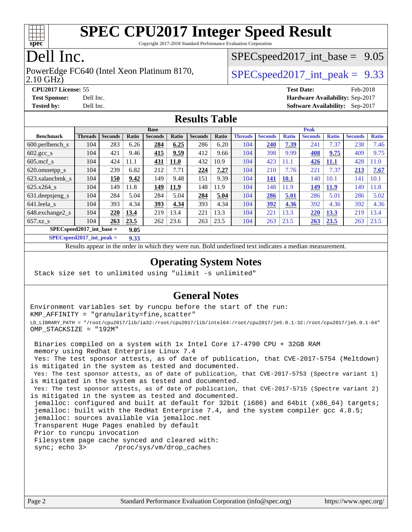

Copyright 2017-2018 Standard Performance Evaluation Corporation

### Dell Inc.

2.10 GHz) PowerEdge FC640 (Intel Xeon Platinum 8170,  $\vert$  [SPECspeed2017\\_int\\_peak =](http://www.spec.org/auto/cpu2017/Docs/result-fields.html#SPECspeed2017intpeak) 9.33

 $SPECspeed2017\_int\_base = 9.05$ 

**[Tested by:](http://www.spec.org/auto/cpu2017/Docs/result-fields.html#Testedby)** Dell Inc. **[Software Availability:](http://www.spec.org/auto/cpu2017/Docs/result-fields.html#SoftwareAvailability)** Sep-2017

**[CPU2017 License:](http://www.spec.org/auto/cpu2017/Docs/result-fields.html#CPU2017License)** 55 **[Test Date:](http://www.spec.org/auto/cpu2017/Docs/result-fields.html#TestDate)** Feb-2018 **[Test Sponsor:](http://www.spec.org/auto/cpu2017/Docs/result-fields.html#TestSponsor)** Dell Inc. **[Hardware Availability:](http://www.spec.org/auto/cpu2017/Docs/result-fields.html#HardwareAvailability)** Sep-2017

#### **[Results Table](http://www.spec.org/auto/cpu2017/Docs/result-fields.html#ResultsTable)**

|                                     | <b>Base</b>    |                |       |                |             |                |       | <b>Peak</b>    |                |              |                |              |                |              |
|-------------------------------------|----------------|----------------|-------|----------------|-------------|----------------|-------|----------------|----------------|--------------|----------------|--------------|----------------|--------------|
| <b>Benchmark</b>                    | <b>Threads</b> | <b>Seconds</b> | Ratio | <b>Seconds</b> | Ratio       | <b>Seconds</b> | Ratio | <b>Threads</b> | <b>Seconds</b> | <b>Ratio</b> | <b>Seconds</b> | <b>Ratio</b> | <b>Seconds</b> | <b>Ratio</b> |
| 600.perlbench s                     | 104            | 283            | 6.26  | 284            | 6.25        | 286            | 6.20  | 104            | 240            | 7.39         | 241            | 7.37         | 238            | 7.46         |
| $602.\text{gcc}\_\text{s}$          | 104            | 421            | 9.46  | 415            | 9.59        | 412            | 9.66  | 104            | 398            | 9.99         | 408            | 9.75         | 409            | 9.75         |
| $605$ .mcf s                        | 104            | 424            | 11.1  | 431            | <b>11.0</b> | 432            | 10.9  | 104            | 423            | 11.1         | 426            | <u>11,1</u>  | 428            | 11.0         |
| 620.omnetpp_s                       | 104            | 239            | 6.82  | 212            | 7.71        | 224            | 7.27  | 104            | 210            | 7.76         | 221            | 7.37         | 213            | 7.67         |
| 623.xalancbmk s                     | 104            | 150            | 9.42  | 149            | 9.48        | 151            | 9.39  | 104            | 141            | <b>10.1</b>  | 140            | 10.1         | 141            | 10.1         |
| 625.x264 s                          | 104            | 149            | 11.8  | 149            | 11.9        | 148            | 11.9  | 104            | 148            | 11.9         | 149            | <b>11.9</b>  | 149            | 11.8         |
| 631.deepsjeng_s                     | 104            | 284            | 5.04  | 284            | 5.04        | 284            | 5.04  | 104            | 286            | 5.01         | 286            | 5.01         | 286            | 5.02         |
| 641.leela s                         | 104            | 393            | 4.34  | 393            | 4.34        | 393            | 4.34  | 104            | 392            | 4.36         | 392            | 4.36         | 392            | 4.36         |
| 648.exchange2_s                     | 104            | 220            | 13.4  | 219            | 13.4        | 221            | 13.3  | 104            | 221            | 13.3         | 220            | 13.3         | 219            | 13.4         |
| $657.xz$ s                          | 104            | 263            | 23.5  | 262            | 23.6        | 263            | 23.5  | 104            | 263            | 23.5         | 263            | 23.5         | 263            | 23.5         |
| $SPEC speed2017$ int base =<br>9.05 |                |                |       |                |             |                |       |                |                |              |                |              |                |              |

**[SPECspeed2017\\_int\\_peak =](http://www.spec.org/auto/cpu2017/Docs/result-fields.html#SPECspeed2017intpeak) 9.33**

Results appear in the [order in which they were run.](http://www.spec.org/auto/cpu2017/Docs/result-fields.html#RunOrder) Bold underlined text [indicates a median measurement](http://www.spec.org/auto/cpu2017/Docs/result-fields.html#Median).

#### **[Operating System Notes](http://www.spec.org/auto/cpu2017/Docs/result-fields.html#OperatingSystemNotes)**

Stack size set to unlimited using "ulimit -s unlimited"

#### **[General Notes](http://www.spec.org/auto/cpu2017/Docs/result-fields.html#GeneralNotes)**

Environment variables set by runcpu before the start of the run: KMP\_AFFINITY = "granularity=fine,scatter" LD\_LIBRARY\_PATH = "/root/cpu2017/lib/ia32:/root/cpu2017/lib/intel64:/root/cpu2017/je5.0.1-32:/root/cpu2017/je5.0.1-64" OMP\_STACKSIZE = "192M"

 Binaries compiled on a system with 1x Intel Core i7-4790 CPU + 32GB RAM memory using Redhat Enterprise Linux 7.4 Yes: The test sponsor attests, as of date of publication, that CVE-2017-5754 (Meltdown) is mitigated in the system as tested and documented. Yes: The test sponsor attests, as of date of publication, that CVE-2017-5753 (Spectre variant 1) is mitigated in the system as tested and documented. Yes: The test sponsor attests, as of date of publication, that CVE-2017-5715 (Spectre variant 2) is mitigated in the system as tested and documented. jemalloc: configured and built at default for 32bit (i686) and 64bit (x86\_64) targets; jemalloc: built with the RedHat Enterprise 7.4, and the system compiler gcc 4.8.5; jemalloc: sources available via jemalloc.net Transparent Huge Pages enabled by default Prior to runcpu invocation Filesystem page cache synced and cleared with: sync; echo 3> /proc/sys/vm/drop\_caches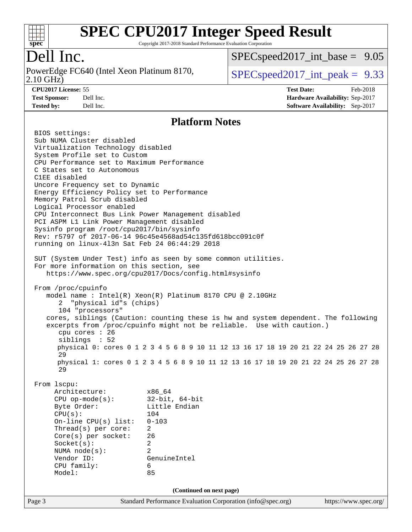

Copyright 2017-2018 Standard Performance Evaluation Corporation

### Dell Inc.

2.10 GHz) PowerEdge FC640 (Intel Xeon Platinum 8170,  $\vert$  [SPECspeed2017\\_int\\_peak =](http://www.spec.org/auto/cpu2017/Docs/result-fields.html#SPECspeed2017intpeak) 9.33

 $SPECspeed2017\_int\_base = 9.05$ 

**[Tested by:](http://www.spec.org/auto/cpu2017/Docs/result-fields.html#Testedby)** Dell Inc. **[Software Availability:](http://www.spec.org/auto/cpu2017/Docs/result-fields.html#SoftwareAvailability)** Sep-2017

**[CPU2017 License:](http://www.spec.org/auto/cpu2017/Docs/result-fields.html#CPU2017License)** 55 **[Test Date:](http://www.spec.org/auto/cpu2017/Docs/result-fields.html#TestDate)** Feb-2018 **[Test Sponsor:](http://www.spec.org/auto/cpu2017/Docs/result-fields.html#TestSponsor)** Dell Inc. **[Hardware Availability:](http://www.spec.org/auto/cpu2017/Docs/result-fields.html#HardwareAvailability)** Sep-2017

#### **[Platform Notes](http://www.spec.org/auto/cpu2017/Docs/result-fields.html#PlatformNotes)**

Page 3 Standard Performance Evaluation Corporation [\(info@spec.org\)](mailto:info@spec.org) <https://www.spec.org/> BIOS settings: Sub NUMA Cluster disabled Virtualization Technology disabled System Profile set to Custom CPU Performance set to Maximum Performance C States set to Autonomous C1EE disabled Uncore Frequency set to Dynamic Energy Efficiency Policy set to Performance Memory Patrol Scrub disabled Logical Processor enabled CPU Interconnect Bus Link Power Management disabled PCI ASPM L1 Link Power Management disabled Sysinfo program /root/cpu2017/bin/sysinfo Rev: r5797 of 2017-06-14 96c45e4568ad54c135fd618bcc091c0f running on linux-4l3n Sat Feb 24 06:44:29 2018 SUT (System Under Test) info as seen by some common utilities. For more information on this section, see <https://www.spec.org/cpu2017/Docs/config.html#sysinfo> From /proc/cpuinfo model name : Intel(R) Xeon(R) Platinum 8170 CPU @ 2.10GHz 2 "physical id"s (chips) 104 "processors" cores, siblings (Caution: counting these is hw and system dependent. The following excerpts from /proc/cpuinfo might not be reliable. Use with caution.) cpu cores : 26 siblings : 52 physical 0: cores 0 1 2 3 4 5 6 8 9 10 11 12 13 16 17 18 19 20 21 22 24 25 26 27 28 29 physical 1: cores 0 1 2 3 4 5 6 8 9 10 11 12 13 16 17 18 19 20 21 22 24 25 26 27 28 29 From lscpu: Architecture: x86\_64 CPU op-mode(s): 32-bit, 64-bit Byte Order: Little Endian CPU(s): 104 On-line CPU(s) list: 0-103 Thread(s) per core: 2 Core(s) per socket: 26 Socket(s): 2 NUMA node(s): 2 Vendor ID: GenuineIntel CPU family: 6 Model: 85 **(Continued on next page)**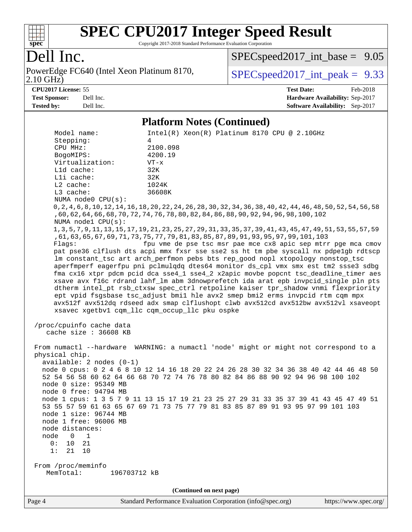

Copyright 2017-2018 Standard Performance Evaluation Corporation

### Dell Inc.

2.10 GHz) PowerEdge FC640 (Intel Xeon Platinum 8170,  $SPEC speed2017\_int\_peak = 9.33$ 

[SPECspeed2017\\_int\\_base =](http://www.spec.org/auto/cpu2017/Docs/result-fields.html#SPECspeed2017intbase) 9.05

**[CPU2017 License:](http://www.spec.org/auto/cpu2017/Docs/result-fields.html#CPU2017License)** 55 **[Test Date:](http://www.spec.org/auto/cpu2017/Docs/result-fields.html#TestDate)** Feb-2018 **[Test Sponsor:](http://www.spec.org/auto/cpu2017/Docs/result-fields.html#TestSponsor)** Dell Inc. **[Hardware Availability:](http://www.spec.org/auto/cpu2017/Docs/result-fields.html#HardwareAvailability)** Sep-2017 **[Tested by:](http://www.spec.org/auto/cpu2017/Docs/result-fields.html#Testedby)** Dell Inc. **[Software Availability:](http://www.spec.org/auto/cpu2017/Docs/result-fields.html#SoftwareAvailability)** Sep-2017

#### **[Platform Notes \(Continued\)](http://www.spec.org/auto/cpu2017/Docs/result-fields.html#PlatformNotes)**

| Model name:                                                                                                                                                              | $Intel(R)$ Xeon $(R)$ Platinum 8170 CPU @ 2.10GHz                                                                                                                                                               |  |  |  |  |  |  |  |  |
|--------------------------------------------------------------------------------------------------------------------------------------------------------------------------|-----------------------------------------------------------------------------------------------------------------------------------------------------------------------------------------------------------------|--|--|--|--|--|--|--|--|
| Stepping:                                                                                                                                                                | 4                                                                                                                                                                                                               |  |  |  |  |  |  |  |  |
| CPU MHz:                                                                                                                                                                 | 2100.098                                                                                                                                                                                                        |  |  |  |  |  |  |  |  |
| BogoMIPS:                                                                                                                                                                | 4200.19                                                                                                                                                                                                         |  |  |  |  |  |  |  |  |
| Virtualization:                                                                                                                                                          | $VT - x$                                                                                                                                                                                                        |  |  |  |  |  |  |  |  |
| Lld cache:                                                                                                                                                               | 32K                                                                                                                                                                                                             |  |  |  |  |  |  |  |  |
| Lli cache:                                                                                                                                                               | 32K                                                                                                                                                                                                             |  |  |  |  |  |  |  |  |
| $L2$ cache:                                                                                                                                                              | 1024K                                                                                                                                                                                                           |  |  |  |  |  |  |  |  |
| L3 cache:                                                                                                                                                                | 36608K                                                                                                                                                                                                          |  |  |  |  |  |  |  |  |
| NUMA node0 CPU(s):                                                                                                                                                       | 0,2,4,6,8,10,12,14,16,18,20,22,24,26,30,32,34,36,38,40,42,44,46,48,50,52,54,56,                                                                                                                                 |  |  |  |  |  |  |  |  |
| NUMA node1 CPU(s):                                                                                                                                                       | , 60, 62, 64, 66, 68, 70, 72, 74, 76, 78, 80, 82, 84, 86, 88, 90, 92, 94, 96, 98, 100, 102                                                                                                                      |  |  |  |  |  |  |  |  |
|                                                                                                                                                                          | 1, 3, 5, 7, 9, 11, 13, 15, 17, 19, 21, 23, 25, 27, 29, 31, 33, 35, 37, 39, 41, 43, 45, 47, 49, 51, 53, 55, 57, 59<br>, 61, 63, 65, 67, 69, 71, 73, 75, 77, 79, 81, 83, 85, 87, 89, 91, 93, 95, 97, 99, 101, 103 |  |  |  |  |  |  |  |  |
| Flaqs:                                                                                                                                                                   | fpu vme de pse tsc msr pae mce cx8 apic sep mtrr pge mca cmov                                                                                                                                                   |  |  |  |  |  |  |  |  |
|                                                                                                                                                                          | pat pse36 clflush dts acpi mmx fxsr sse sse2 ss ht tm pbe syscall nx pdpelgb rdtscp<br>lm constant_tsc art arch_perfmon pebs bts rep_good nopl xtopology nonstop_tsc                                            |  |  |  |  |  |  |  |  |
|                                                                                                                                                                          | aperfmperf eagerfpu pni pclmulqdq dtes64 monitor ds_cpl vmx smx est tm2 ssse3 sdbg                                                                                                                              |  |  |  |  |  |  |  |  |
|                                                                                                                                                                          | fma cx16 xtpr pdcm pcid dca sse4_1 sse4_2 x2apic movbe popcnt tsc_deadline_timer aes                                                                                                                            |  |  |  |  |  |  |  |  |
|                                                                                                                                                                          | xsave avx f16c rdrand lahf_lm abm 3dnowprefetch ida arat epb invpcid_single pln pts                                                                                                                             |  |  |  |  |  |  |  |  |
|                                                                                                                                                                          | dtherm intel_pt rsb_ctxsw spec_ctrl retpoline kaiser tpr_shadow vnmi flexpriority                                                                                                                               |  |  |  |  |  |  |  |  |
|                                                                                                                                                                          | ept vpid fsgsbase tsc_adjust bmil hle avx2 smep bmi2 erms invpcid rtm cqm mpx                                                                                                                                   |  |  |  |  |  |  |  |  |
|                                                                                                                                                                          | avx512f avx512dq rdseed adx smap clflushopt clwb avx512cd avx512bw avx512vl xsaveopt                                                                                                                            |  |  |  |  |  |  |  |  |
|                                                                                                                                                                          | xsavec xgetbv1 cqm_llc cqm_occup_llc pku ospke                                                                                                                                                                  |  |  |  |  |  |  |  |  |
| /proc/cpuinfo cache data<br>cache size : 36608 KB                                                                                                                        |                                                                                                                                                                                                                 |  |  |  |  |  |  |  |  |
| physical chip.                                                                                                                                                           | From numactl --hardware WARNING: a numactl 'node' might or might not correspond to a                                                                                                                            |  |  |  |  |  |  |  |  |
| $available: 2 nodes (0-1)$                                                                                                                                               |                                                                                                                                                                                                                 |  |  |  |  |  |  |  |  |
|                                                                                                                                                                          |                                                                                                                                                                                                                 |  |  |  |  |  |  |  |  |
| node 0 cpus: 0 2 4 6 8 10 12 14 16 18 20 22 24 26 28 30 32 34 36 38 40 42 44 46 48 50<br>52 54 56 58 60 62 64 66 68 70 72 74 76 78 80 82 84 86 88 90 92 94 96 98 100 102 |                                                                                                                                                                                                                 |  |  |  |  |  |  |  |  |
| node 0 size: 95349 MB                                                                                                                                                    |                                                                                                                                                                                                                 |  |  |  |  |  |  |  |  |
| node 0 free: 94794 MB                                                                                                                                                    |                                                                                                                                                                                                                 |  |  |  |  |  |  |  |  |
|                                                                                                                                                                          | node 1 cpus: 1 3 5 7 9 11 13 15 17 19 21 23 25 27 29 31 33 35 37 39 41 43 45 47 49 51                                                                                                                           |  |  |  |  |  |  |  |  |
|                                                                                                                                                                          | 53 55 57 59 61 63 65 67 69 71 73 75 77 79 81 83 85 87 89 91 93 95 97 99 101 103                                                                                                                                 |  |  |  |  |  |  |  |  |
| node 1 size: 96744 MB                                                                                                                                                    |                                                                                                                                                                                                                 |  |  |  |  |  |  |  |  |
| node 1 free: 96006 MB                                                                                                                                                    |                                                                                                                                                                                                                 |  |  |  |  |  |  |  |  |
| node distances:                                                                                                                                                          |                                                                                                                                                                                                                 |  |  |  |  |  |  |  |  |
| node<br>1<br>0                                                                                                                                                           |                                                                                                                                                                                                                 |  |  |  |  |  |  |  |  |
| 0:<br>10<br>21                                                                                                                                                           |                                                                                                                                                                                                                 |  |  |  |  |  |  |  |  |
| 1:<br>21<br>10                                                                                                                                                           |                                                                                                                                                                                                                 |  |  |  |  |  |  |  |  |
|                                                                                                                                                                          |                                                                                                                                                                                                                 |  |  |  |  |  |  |  |  |
| From /proc/meminfo                                                                                                                                                       |                                                                                                                                                                                                                 |  |  |  |  |  |  |  |  |
| MemTotal:<br>196703712 kB                                                                                                                                                |                                                                                                                                                                                                                 |  |  |  |  |  |  |  |  |
| (Continued on next page)                                                                                                                                                 |                                                                                                                                                                                                                 |  |  |  |  |  |  |  |  |
|                                                                                                                                                                          |                                                                                                                                                                                                                 |  |  |  |  |  |  |  |  |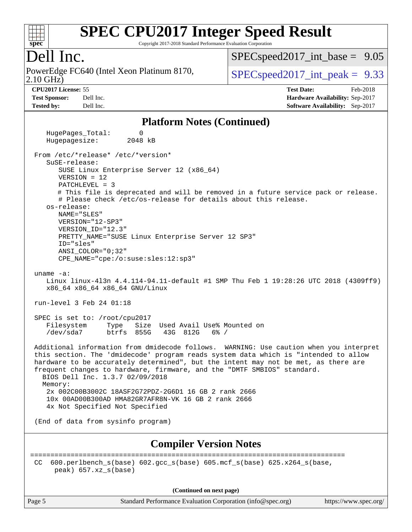

Copyright 2017-2018 Standard Performance Evaluation Corporation

### Dell Inc.

2.10 GHz) PowerEdge FC640 (Intel Xeon Platinum 8170,  $\vert$  [SPECspeed2017\\_int\\_peak =](http://www.spec.org/auto/cpu2017/Docs/result-fields.html#SPECspeed2017intpeak) 9.33

 $SPECspeed2017\_int\_base = 9.05$ 

**[CPU2017 License:](http://www.spec.org/auto/cpu2017/Docs/result-fields.html#CPU2017License)** 55 **[Test Date:](http://www.spec.org/auto/cpu2017/Docs/result-fields.html#TestDate)** Feb-2018 **[Test Sponsor:](http://www.spec.org/auto/cpu2017/Docs/result-fields.html#TestSponsor)** Dell Inc. **[Hardware Availability:](http://www.spec.org/auto/cpu2017/Docs/result-fields.html#HardwareAvailability)** Sep-2017 **[Tested by:](http://www.spec.org/auto/cpu2017/Docs/result-fields.html#Testedby)** Dell Inc. **[Software Availability:](http://www.spec.org/auto/cpu2017/Docs/result-fields.html#SoftwareAvailability)** Sep-2017

#### **[Platform Notes \(Continued\)](http://www.spec.org/auto/cpu2017/Docs/result-fields.html#PlatformNotes)**

HugePages Total: 0 Hugepagesize: 2048 kB From /etc/\*release\* /etc/\*version\* SuSE-release: SUSE Linux Enterprise Server 12 (x86\_64) VERSION = 12 PATCHLEVEL = 3 # This file is deprecated and will be removed in a future service pack or release. # Please check /etc/os-release for details about this release. os-release: NAME="SLES" VERSION="12-SP3" VERSION\_ID="12.3" PRETTY\_NAME="SUSE Linux Enterprise Server 12 SP3" ID="sles" ANSI\_COLOR="0;32" CPE\_NAME="cpe:/o:suse:sles:12:sp3" uname -a: Linux linux-4l3n 4.4.114-94.11-default #1 SMP Thu Feb 1 19:28:26 UTC 2018 (4309ff9) x86\_64 x86\_64 x86\_64 GNU/Linux run-level 3 Feb 24 01:18 SPEC is set to: /root/cpu2017 Filesystem Type Size Used Avail Use% Mounted on /dev/sda7 btrfs 855G 43G 812G 6% / Additional information from dmidecode follows. WARNING: Use caution when you interpret this section. The 'dmidecode' program reads system data which is "intended to allow hardware to be accurately determined", but the intent may not be met, as there are frequent changes to hardware, firmware, and the "DMTF SMBIOS" standard. BIOS Dell Inc. 1.3.7 02/09/2018 Memory: 2x 002C00B3002C 18ASF2G72PDZ-2G6D1 16 GB 2 rank 2666 10x 00AD00B300AD HMA82GR7AFR8N-VK 16 GB 2 rank 2666 4x Not Specified Not Specified (End of data from sysinfo program) **[Compiler Version Notes](http://www.spec.org/auto/cpu2017/Docs/result-fields.html#CompilerVersionNotes)** ============================================================================== CC 600.perlbench\_s(base) 602.gcc\_s(base) 605.mcf\_s(base) 625.x264\_s(base, peak) 657.xz\_s(base)

**(Continued on next page)**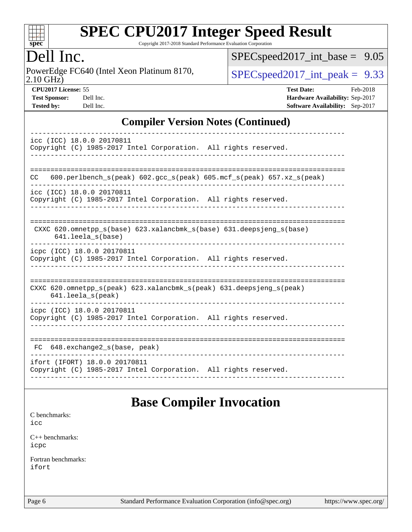

Copyright 2017-2018 Standard Performance Evaluation Corporation

### Dell Inc.

2.10 GHz) PowerEdge FC640 (Intel Xeon Platinum 8170,  $SPEC speed2017\_int\_peak = 9.33$ 

[SPECspeed2017\\_int\\_base =](http://www.spec.org/auto/cpu2017/Docs/result-fields.html#SPECspeed2017intbase) 9.05

**[CPU2017 License:](http://www.spec.org/auto/cpu2017/Docs/result-fields.html#CPU2017License)** 55 **[Test Date:](http://www.spec.org/auto/cpu2017/Docs/result-fields.html#TestDate)** Feb-2018 **[Test Sponsor:](http://www.spec.org/auto/cpu2017/Docs/result-fields.html#TestSponsor)** Dell Inc. **[Hardware Availability:](http://www.spec.org/auto/cpu2017/Docs/result-fields.html#HardwareAvailability)** Sep-2017 **[Tested by:](http://www.spec.org/auto/cpu2017/Docs/result-fields.html#Testedby)** Dell Inc. **[Software Availability:](http://www.spec.org/auto/cpu2017/Docs/result-fields.html#SoftwareAvailability)** Sep-2017

#### **[Compiler Version Notes \(Continued\)](http://www.spec.org/auto/cpu2017/Docs/result-fields.html#CompilerVersionNotes)**

#### **[Base Compiler Invocation](http://www.spec.org/auto/cpu2017/Docs/result-fields.html#BaseCompilerInvocation)**

[C benchmarks](http://www.spec.org/auto/cpu2017/Docs/result-fields.html#Cbenchmarks):

[icc](http://www.spec.org/cpu2017/results/res2018q1/cpu2017-20180305-03813.flags.html#user_CCbase_intel_icc_18.0_66fc1ee009f7361af1fbd72ca7dcefbb700085f36577c54f309893dd4ec40d12360134090235512931783d35fd58c0460139e722d5067c5574d8eaf2b3e37e92)

[C++ benchmarks:](http://www.spec.org/auto/cpu2017/Docs/result-fields.html#CXXbenchmarks) [icpc](http://www.spec.org/cpu2017/results/res2018q1/cpu2017-20180305-03813.flags.html#user_CXXbase_intel_icpc_18.0_c510b6838c7f56d33e37e94d029a35b4a7bccf4766a728ee175e80a419847e808290a9b78be685c44ab727ea267ec2f070ec5dc83b407c0218cded6866a35d07)

[Fortran benchmarks](http://www.spec.org/auto/cpu2017/Docs/result-fields.html#Fortranbenchmarks): [ifort](http://www.spec.org/cpu2017/results/res2018q1/cpu2017-20180305-03813.flags.html#user_FCbase_intel_ifort_18.0_8111460550e3ca792625aed983ce982f94888b8b503583aa7ba2b8303487b4d8a21a13e7191a45c5fd58ff318f48f9492884d4413fa793fd88dd292cad7027ca)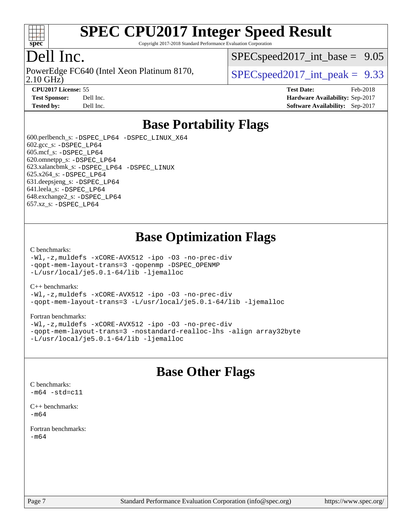

Copyright 2017-2018 Standard Performance Evaluation Corporation

### Dell Inc.

PowerEdge FC640 (Intel Xeon Platinum 8170,<br>2.10 GHz)

 $SPECspeed2017\_int\_base = 9.05$ 

 $SPECspeed2017\_int\_peak = 9.33$ 

**[CPU2017 License:](http://www.spec.org/auto/cpu2017/Docs/result-fields.html#CPU2017License)** 55 **[Test Date:](http://www.spec.org/auto/cpu2017/Docs/result-fields.html#TestDate)** Feb-2018 **[Test Sponsor:](http://www.spec.org/auto/cpu2017/Docs/result-fields.html#TestSponsor)** Dell Inc. **[Hardware Availability:](http://www.spec.org/auto/cpu2017/Docs/result-fields.html#HardwareAvailability)** Sep-2017 **[Tested by:](http://www.spec.org/auto/cpu2017/Docs/result-fields.html#Testedby)** Dell Inc. **[Software Availability:](http://www.spec.org/auto/cpu2017/Docs/result-fields.html#SoftwareAvailability)** Sep-2017

### **[Base Portability Flags](http://www.spec.org/auto/cpu2017/Docs/result-fields.html#BasePortabilityFlags)**

 600.perlbench\_s: [-DSPEC\\_LP64](http://www.spec.org/cpu2017/results/res2018q1/cpu2017-20180305-03813.flags.html#b600.perlbench_s_basePORTABILITY_DSPEC_LP64) [-DSPEC\\_LINUX\\_X64](http://www.spec.org/cpu2017/results/res2018q1/cpu2017-20180305-03813.flags.html#b600.perlbench_s_baseCPORTABILITY_DSPEC_LINUX_X64) 602.gcc\_s: [-DSPEC\\_LP64](http://www.spec.org/cpu2017/results/res2018q1/cpu2017-20180305-03813.flags.html#suite_basePORTABILITY602_gcc_s_DSPEC_LP64) 605.mcf\_s: [-DSPEC\\_LP64](http://www.spec.org/cpu2017/results/res2018q1/cpu2017-20180305-03813.flags.html#suite_basePORTABILITY605_mcf_s_DSPEC_LP64) 620.omnetpp\_s: [-DSPEC\\_LP64](http://www.spec.org/cpu2017/results/res2018q1/cpu2017-20180305-03813.flags.html#suite_basePORTABILITY620_omnetpp_s_DSPEC_LP64) 623.xalancbmk\_s: [-DSPEC\\_LP64](http://www.spec.org/cpu2017/results/res2018q1/cpu2017-20180305-03813.flags.html#suite_basePORTABILITY623_xalancbmk_s_DSPEC_LP64) [-DSPEC\\_LINUX](http://www.spec.org/cpu2017/results/res2018q1/cpu2017-20180305-03813.flags.html#b623.xalancbmk_s_baseCXXPORTABILITY_DSPEC_LINUX) 625.x264\_s: [-DSPEC\\_LP64](http://www.spec.org/cpu2017/results/res2018q1/cpu2017-20180305-03813.flags.html#suite_basePORTABILITY625_x264_s_DSPEC_LP64) 631.deepsjeng\_s: [-DSPEC\\_LP64](http://www.spec.org/cpu2017/results/res2018q1/cpu2017-20180305-03813.flags.html#suite_basePORTABILITY631_deepsjeng_s_DSPEC_LP64) 641.leela\_s: [-DSPEC\\_LP64](http://www.spec.org/cpu2017/results/res2018q1/cpu2017-20180305-03813.flags.html#suite_basePORTABILITY641_leela_s_DSPEC_LP64) 648.exchange2\_s: [-DSPEC\\_LP64](http://www.spec.org/cpu2017/results/res2018q1/cpu2017-20180305-03813.flags.html#suite_basePORTABILITY648_exchange2_s_DSPEC_LP64) 657.xz\_s: [-DSPEC\\_LP64](http://www.spec.org/cpu2017/results/res2018q1/cpu2017-20180305-03813.flags.html#suite_basePORTABILITY657_xz_s_DSPEC_LP64)

### **[Base Optimization Flags](http://www.spec.org/auto/cpu2017/Docs/result-fields.html#BaseOptimizationFlags)**

#### [C benchmarks](http://www.spec.org/auto/cpu2017/Docs/result-fields.html#Cbenchmarks):

[-Wl,-z,muldefs](http://www.spec.org/cpu2017/results/res2018q1/cpu2017-20180305-03813.flags.html#user_CCbase_link_force_multiple1_b4cbdb97b34bdee9ceefcfe54f4c8ea74255f0b02a4b23e853cdb0e18eb4525ac79b5a88067c842dd0ee6996c24547a27a4b99331201badda8798ef8a743f577) [-xCORE-AVX512](http://www.spec.org/cpu2017/results/res2018q1/cpu2017-20180305-03813.flags.html#user_CCbase_f-xCORE-AVX512) [-ipo](http://www.spec.org/cpu2017/results/res2018q1/cpu2017-20180305-03813.flags.html#user_CCbase_f-ipo) [-O3](http://www.spec.org/cpu2017/results/res2018q1/cpu2017-20180305-03813.flags.html#user_CCbase_f-O3) [-no-prec-div](http://www.spec.org/cpu2017/results/res2018q1/cpu2017-20180305-03813.flags.html#user_CCbase_f-no-prec-div) [-qopt-mem-layout-trans=3](http://www.spec.org/cpu2017/results/res2018q1/cpu2017-20180305-03813.flags.html#user_CCbase_f-qopt-mem-layout-trans_de80db37974c74b1f0e20d883f0b675c88c3b01e9d123adea9b28688d64333345fb62bc4a798493513fdb68f60282f9a726aa07f478b2f7113531aecce732043) [-qopenmp](http://www.spec.org/cpu2017/results/res2018q1/cpu2017-20180305-03813.flags.html#user_CCbase_qopenmp_16be0c44f24f464004c6784a7acb94aca937f053568ce72f94b139a11c7c168634a55f6653758ddd83bcf7b8463e8028bb0b48b77bcddc6b78d5d95bb1df2967) [-DSPEC\\_OPENMP](http://www.spec.org/cpu2017/results/res2018q1/cpu2017-20180305-03813.flags.html#suite_CCbase_DSPEC_OPENMP) [-L/usr/local/je5.0.1-64/lib](http://www.spec.org/cpu2017/results/res2018q1/cpu2017-20180305-03813.flags.html#user_CCbase_jemalloc_link_path64_4b10a636b7bce113509b17f3bd0d6226c5fb2346b9178c2d0232c14f04ab830f976640479e5c33dc2bcbbdad86ecfb6634cbbd4418746f06f368b512fced5394) [-ljemalloc](http://www.spec.org/cpu2017/results/res2018q1/cpu2017-20180305-03813.flags.html#user_CCbase_jemalloc_link_lib_d1249b907c500fa1c0672f44f562e3d0f79738ae9e3c4a9c376d49f265a04b9c99b167ecedbf6711b3085be911c67ff61f150a17b3472be731631ba4d0471706)

#### [C++ benchmarks:](http://www.spec.org/auto/cpu2017/Docs/result-fields.html#CXXbenchmarks)

[-Wl,-z,muldefs](http://www.spec.org/cpu2017/results/res2018q1/cpu2017-20180305-03813.flags.html#user_CXXbase_link_force_multiple1_b4cbdb97b34bdee9ceefcfe54f4c8ea74255f0b02a4b23e853cdb0e18eb4525ac79b5a88067c842dd0ee6996c24547a27a4b99331201badda8798ef8a743f577) [-xCORE-AVX512](http://www.spec.org/cpu2017/results/res2018q1/cpu2017-20180305-03813.flags.html#user_CXXbase_f-xCORE-AVX512) [-ipo](http://www.spec.org/cpu2017/results/res2018q1/cpu2017-20180305-03813.flags.html#user_CXXbase_f-ipo) [-O3](http://www.spec.org/cpu2017/results/res2018q1/cpu2017-20180305-03813.flags.html#user_CXXbase_f-O3) [-no-prec-div](http://www.spec.org/cpu2017/results/res2018q1/cpu2017-20180305-03813.flags.html#user_CXXbase_f-no-prec-div) [-qopt-mem-layout-trans=3](http://www.spec.org/cpu2017/results/res2018q1/cpu2017-20180305-03813.flags.html#user_CXXbase_f-qopt-mem-layout-trans_de80db37974c74b1f0e20d883f0b675c88c3b01e9d123adea9b28688d64333345fb62bc4a798493513fdb68f60282f9a726aa07f478b2f7113531aecce732043) [-L/usr/local/je5.0.1-64/lib](http://www.spec.org/cpu2017/results/res2018q1/cpu2017-20180305-03813.flags.html#user_CXXbase_jemalloc_link_path64_4b10a636b7bce113509b17f3bd0d6226c5fb2346b9178c2d0232c14f04ab830f976640479e5c33dc2bcbbdad86ecfb6634cbbd4418746f06f368b512fced5394) [-ljemalloc](http://www.spec.org/cpu2017/results/res2018q1/cpu2017-20180305-03813.flags.html#user_CXXbase_jemalloc_link_lib_d1249b907c500fa1c0672f44f562e3d0f79738ae9e3c4a9c376d49f265a04b9c99b167ecedbf6711b3085be911c67ff61f150a17b3472be731631ba4d0471706)

#### [Fortran benchmarks](http://www.spec.org/auto/cpu2017/Docs/result-fields.html#Fortranbenchmarks):

[-Wl,-z,muldefs](http://www.spec.org/cpu2017/results/res2018q1/cpu2017-20180305-03813.flags.html#user_FCbase_link_force_multiple1_b4cbdb97b34bdee9ceefcfe54f4c8ea74255f0b02a4b23e853cdb0e18eb4525ac79b5a88067c842dd0ee6996c24547a27a4b99331201badda8798ef8a743f577) [-xCORE-AVX512](http://www.spec.org/cpu2017/results/res2018q1/cpu2017-20180305-03813.flags.html#user_FCbase_f-xCORE-AVX512) [-ipo](http://www.spec.org/cpu2017/results/res2018q1/cpu2017-20180305-03813.flags.html#user_FCbase_f-ipo) [-O3](http://www.spec.org/cpu2017/results/res2018q1/cpu2017-20180305-03813.flags.html#user_FCbase_f-O3) [-no-prec-div](http://www.spec.org/cpu2017/results/res2018q1/cpu2017-20180305-03813.flags.html#user_FCbase_f-no-prec-div) [-qopt-mem-layout-trans=3](http://www.spec.org/cpu2017/results/res2018q1/cpu2017-20180305-03813.flags.html#user_FCbase_f-qopt-mem-layout-trans_de80db37974c74b1f0e20d883f0b675c88c3b01e9d123adea9b28688d64333345fb62bc4a798493513fdb68f60282f9a726aa07f478b2f7113531aecce732043) [-nostandard-realloc-lhs](http://www.spec.org/cpu2017/results/res2018q1/cpu2017-20180305-03813.flags.html#user_FCbase_f_2003_std_realloc_82b4557e90729c0f113870c07e44d33d6f5a304b4f63d4c15d2d0f1fab99f5daaed73bdb9275d9ae411527f28b936061aa8b9c8f2d63842963b95c9dd6426b8a) [-align array32byte](http://www.spec.org/cpu2017/results/res2018q1/cpu2017-20180305-03813.flags.html#user_FCbase_align_array32byte_b982fe038af199962ba9a80c053b8342c548c85b40b8e86eb3cc33dee0d7986a4af373ac2d51c3f7cf710a18d62fdce2948f201cd044323541f22fc0fffc51b6) [-L/usr/local/je5.0.1-64/lib](http://www.spec.org/cpu2017/results/res2018q1/cpu2017-20180305-03813.flags.html#user_FCbase_jemalloc_link_path64_4b10a636b7bce113509b17f3bd0d6226c5fb2346b9178c2d0232c14f04ab830f976640479e5c33dc2bcbbdad86ecfb6634cbbd4418746f06f368b512fced5394) [-ljemalloc](http://www.spec.org/cpu2017/results/res2018q1/cpu2017-20180305-03813.flags.html#user_FCbase_jemalloc_link_lib_d1249b907c500fa1c0672f44f562e3d0f79738ae9e3c4a9c376d49f265a04b9c99b167ecedbf6711b3085be911c67ff61f150a17b3472be731631ba4d0471706)

#### **[Base Other Flags](http://www.spec.org/auto/cpu2017/Docs/result-fields.html#BaseOtherFlags)**

 $-m64 - std= c11$  $-m64 - std= c11$ [C++ benchmarks:](http://www.spec.org/auto/cpu2017/Docs/result-fields.html#CXXbenchmarks)

[C benchmarks](http://www.spec.org/auto/cpu2017/Docs/result-fields.html#Cbenchmarks):

[-m64](http://www.spec.org/cpu2017/results/res2018q1/cpu2017-20180305-03813.flags.html#user_CXXbase_intel_intel64_18.0_af43caccfc8ded86e7699f2159af6efc7655f51387b94da716254467f3c01020a5059329e2569e4053f409e7c9202a7efc638f7a6d1ffb3f52dea4a3e31d82ab)

[Fortran benchmarks](http://www.spec.org/auto/cpu2017/Docs/result-fields.html#Fortranbenchmarks): [-m64](http://www.spec.org/cpu2017/results/res2018q1/cpu2017-20180305-03813.flags.html#user_FCbase_intel_intel64_18.0_af43caccfc8ded86e7699f2159af6efc7655f51387b94da716254467f3c01020a5059329e2569e4053f409e7c9202a7efc638f7a6d1ffb3f52dea4a3e31d82ab)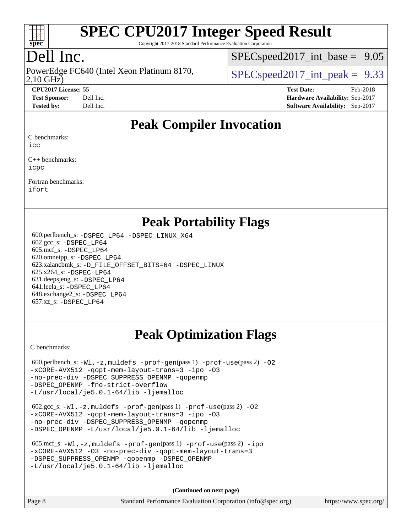

Copyright 2017-2018 Standard Performance Evaluation Corporation

## Dell Inc.

2.10 GHz) PowerEdge FC640 (Intel Xeon Platinum 8170,  $\vert$  [SPECspeed2017\\_int\\_peak =](http://www.spec.org/auto/cpu2017/Docs/result-fields.html#SPECspeed2017intpeak) 9.33

 $SPECspeed2017\_int\_base = 9.05$ 

**[CPU2017 License:](http://www.spec.org/auto/cpu2017/Docs/result-fields.html#CPU2017License)** 55 **[Test Date:](http://www.spec.org/auto/cpu2017/Docs/result-fields.html#TestDate)** Feb-2018 **[Test Sponsor:](http://www.spec.org/auto/cpu2017/Docs/result-fields.html#TestSponsor)** Dell Inc. **[Hardware Availability:](http://www.spec.org/auto/cpu2017/Docs/result-fields.html#HardwareAvailability)** Sep-2017 **[Tested by:](http://www.spec.org/auto/cpu2017/Docs/result-fields.html#Testedby)** Dell Inc. **[Software Availability:](http://www.spec.org/auto/cpu2017/Docs/result-fields.html#SoftwareAvailability)** Sep-2017

### **[Peak Compiler Invocation](http://www.spec.org/auto/cpu2017/Docs/result-fields.html#PeakCompilerInvocation)**

[C benchmarks](http://www.spec.org/auto/cpu2017/Docs/result-fields.html#Cbenchmarks):

[icc](http://www.spec.org/cpu2017/results/res2018q1/cpu2017-20180305-03813.flags.html#user_CCpeak_intel_icc_18.0_66fc1ee009f7361af1fbd72ca7dcefbb700085f36577c54f309893dd4ec40d12360134090235512931783d35fd58c0460139e722d5067c5574d8eaf2b3e37e92)

[C++ benchmarks:](http://www.spec.org/auto/cpu2017/Docs/result-fields.html#CXXbenchmarks) [icpc](http://www.spec.org/cpu2017/results/res2018q1/cpu2017-20180305-03813.flags.html#user_CXXpeak_intel_icpc_18.0_c510b6838c7f56d33e37e94d029a35b4a7bccf4766a728ee175e80a419847e808290a9b78be685c44ab727ea267ec2f070ec5dc83b407c0218cded6866a35d07)

[Fortran benchmarks](http://www.spec.org/auto/cpu2017/Docs/result-fields.html#Fortranbenchmarks): [ifort](http://www.spec.org/cpu2017/results/res2018q1/cpu2017-20180305-03813.flags.html#user_FCpeak_intel_ifort_18.0_8111460550e3ca792625aed983ce982f94888b8b503583aa7ba2b8303487b4d8a21a13e7191a45c5fd58ff318f48f9492884d4413fa793fd88dd292cad7027ca)

#### **[Peak Portability Flags](http://www.spec.org/auto/cpu2017/Docs/result-fields.html#PeakPortabilityFlags)**

 600.perlbench\_s: [-DSPEC\\_LP64](http://www.spec.org/cpu2017/results/res2018q1/cpu2017-20180305-03813.flags.html#b600.perlbench_s_peakPORTABILITY_DSPEC_LP64) [-DSPEC\\_LINUX\\_X64](http://www.spec.org/cpu2017/results/res2018q1/cpu2017-20180305-03813.flags.html#b600.perlbench_s_peakCPORTABILITY_DSPEC_LINUX_X64) 602.gcc\_s: [-DSPEC\\_LP64](http://www.spec.org/cpu2017/results/res2018q1/cpu2017-20180305-03813.flags.html#suite_peakPORTABILITY602_gcc_s_DSPEC_LP64) 605.mcf\_s: [-DSPEC\\_LP64](http://www.spec.org/cpu2017/results/res2018q1/cpu2017-20180305-03813.flags.html#suite_peakPORTABILITY605_mcf_s_DSPEC_LP64) 620.omnetpp\_s: [-DSPEC\\_LP64](http://www.spec.org/cpu2017/results/res2018q1/cpu2017-20180305-03813.flags.html#suite_peakPORTABILITY620_omnetpp_s_DSPEC_LP64) 623.xalancbmk\_s: [-D\\_FILE\\_OFFSET\\_BITS=64](http://www.spec.org/cpu2017/results/res2018q1/cpu2017-20180305-03813.flags.html#user_peakPORTABILITY623_xalancbmk_s_file_offset_bits_64_5ae949a99b284ddf4e95728d47cb0843d81b2eb0e18bdfe74bbf0f61d0b064f4bda2f10ea5eb90e1dcab0e84dbc592acfc5018bc955c18609f94ddb8d550002c) [-DSPEC\\_LINUX](http://www.spec.org/cpu2017/results/res2018q1/cpu2017-20180305-03813.flags.html#b623.xalancbmk_s_peakCXXPORTABILITY_DSPEC_LINUX) 625.x264\_s: [-DSPEC\\_LP64](http://www.spec.org/cpu2017/results/res2018q1/cpu2017-20180305-03813.flags.html#suite_peakPORTABILITY625_x264_s_DSPEC_LP64) 631.deepsjeng\_s: [-DSPEC\\_LP64](http://www.spec.org/cpu2017/results/res2018q1/cpu2017-20180305-03813.flags.html#suite_peakPORTABILITY631_deepsjeng_s_DSPEC_LP64) 641.leela\_s: [-DSPEC\\_LP64](http://www.spec.org/cpu2017/results/res2018q1/cpu2017-20180305-03813.flags.html#suite_peakPORTABILITY641_leela_s_DSPEC_LP64) 648.exchange2\_s: [-DSPEC\\_LP64](http://www.spec.org/cpu2017/results/res2018q1/cpu2017-20180305-03813.flags.html#suite_peakPORTABILITY648_exchange2_s_DSPEC_LP64) 657.xz\_s: [-DSPEC\\_LP64](http://www.spec.org/cpu2017/results/res2018q1/cpu2017-20180305-03813.flags.html#suite_peakPORTABILITY657_xz_s_DSPEC_LP64)

## **[Peak Optimization Flags](http://www.spec.org/auto/cpu2017/Docs/result-fields.html#PeakOptimizationFlags)**

[C benchmarks](http://www.spec.org/auto/cpu2017/Docs/result-fields.html#Cbenchmarks):

600.perlbench\_s:  $-W1$ , -z, muldefs [-prof-gen](http://www.spec.org/cpu2017/results/res2018q1/cpu2017-20180305-03813.flags.html#user_peakPASS1_CFLAGSPASS1_LDFLAGS600_perlbench_s_prof_gen_5aa4926d6013ddb2a31985c654b3eb18169fc0c6952a63635c234f711e6e63dd76e94ad52365559451ec499a2cdb89e4dc58ba4c67ef54ca681ffbe1461d6b36)(pass 1) [-prof-use](http://www.spec.org/cpu2017/results/res2018q1/cpu2017-20180305-03813.flags.html#user_peakPASS2_CFLAGSPASS2_LDFLAGS600_perlbench_s_prof_use_1a21ceae95f36a2b53c25747139a6c16ca95bd9def2a207b4f0849963b97e94f5260e30a0c64f4bb623698870e679ca08317ef8150905d41bd88c6f78df73f19)(pass 2) -02 [-xCORE-AVX512](http://www.spec.org/cpu2017/results/res2018q1/cpu2017-20180305-03813.flags.html#user_peakPASS2_COPTIMIZE600_perlbench_s_f-xCORE-AVX512) [-qopt-mem-layout-trans=3](http://www.spec.org/cpu2017/results/res2018q1/cpu2017-20180305-03813.flags.html#user_peakPASS1_COPTIMIZEPASS2_COPTIMIZE600_perlbench_s_f-qopt-mem-layout-trans_de80db37974c74b1f0e20d883f0b675c88c3b01e9d123adea9b28688d64333345fb62bc4a798493513fdb68f60282f9a726aa07f478b2f7113531aecce732043) [-ipo](http://www.spec.org/cpu2017/results/res2018q1/cpu2017-20180305-03813.flags.html#user_peakPASS2_COPTIMIZE600_perlbench_s_f-ipo) [-O3](http://www.spec.org/cpu2017/results/res2018q1/cpu2017-20180305-03813.flags.html#user_peakPASS2_COPTIMIZE600_perlbench_s_f-O3) [-no-prec-div](http://www.spec.org/cpu2017/results/res2018q1/cpu2017-20180305-03813.flags.html#user_peakPASS2_COPTIMIZE600_perlbench_s_f-no-prec-div) [-DSPEC\\_SUPPRESS\\_OPENMP](http://www.spec.org/cpu2017/results/res2018q1/cpu2017-20180305-03813.flags.html#suite_peakPASS1_COPTIMIZE600_perlbench_s_DSPEC_SUPPRESS_OPENMP) [-qopenmp](http://www.spec.org/cpu2017/results/res2018q1/cpu2017-20180305-03813.flags.html#user_peakPASS2_COPTIMIZE600_perlbench_s_qopenmp_16be0c44f24f464004c6784a7acb94aca937f053568ce72f94b139a11c7c168634a55f6653758ddd83bcf7b8463e8028bb0b48b77bcddc6b78d5d95bb1df2967) [-DSPEC\\_OPENMP](http://www.spec.org/cpu2017/results/res2018q1/cpu2017-20180305-03813.flags.html#suite_peakPASS2_COPTIMIZE600_perlbench_s_DSPEC_OPENMP) [-fno-strict-overflow](http://www.spec.org/cpu2017/results/res2018q1/cpu2017-20180305-03813.flags.html#user_peakEXTRA_OPTIMIZE600_perlbench_s_f-fno-strict-overflow) [-L/usr/local/je5.0.1-64/lib](http://www.spec.org/cpu2017/results/res2018q1/cpu2017-20180305-03813.flags.html#user_peakEXTRA_LIBS600_perlbench_s_jemalloc_link_path64_4b10a636b7bce113509b17f3bd0d6226c5fb2346b9178c2d0232c14f04ab830f976640479e5c33dc2bcbbdad86ecfb6634cbbd4418746f06f368b512fced5394) [-ljemalloc](http://www.spec.org/cpu2017/results/res2018q1/cpu2017-20180305-03813.flags.html#user_peakEXTRA_LIBS600_perlbench_s_jemalloc_link_lib_d1249b907c500fa1c0672f44f562e3d0f79738ae9e3c4a9c376d49f265a04b9c99b167ecedbf6711b3085be911c67ff61f150a17b3472be731631ba4d0471706)

 602.gcc\_s: [-Wl,-z,muldefs](http://www.spec.org/cpu2017/results/res2018q1/cpu2017-20180305-03813.flags.html#user_peakEXTRA_LDFLAGS602_gcc_s_link_force_multiple1_b4cbdb97b34bdee9ceefcfe54f4c8ea74255f0b02a4b23e853cdb0e18eb4525ac79b5a88067c842dd0ee6996c24547a27a4b99331201badda8798ef8a743f577) [-prof-gen](http://www.spec.org/cpu2017/results/res2018q1/cpu2017-20180305-03813.flags.html#user_peakPASS1_CFLAGSPASS1_LDFLAGS602_gcc_s_prof_gen_5aa4926d6013ddb2a31985c654b3eb18169fc0c6952a63635c234f711e6e63dd76e94ad52365559451ec499a2cdb89e4dc58ba4c67ef54ca681ffbe1461d6b36)(pass 1) [-prof-use](http://www.spec.org/cpu2017/results/res2018q1/cpu2017-20180305-03813.flags.html#user_peakPASS2_CFLAGSPASS2_LDFLAGS602_gcc_s_prof_use_1a21ceae95f36a2b53c25747139a6c16ca95bd9def2a207b4f0849963b97e94f5260e30a0c64f4bb623698870e679ca08317ef8150905d41bd88c6f78df73f19)(pass 2) [-O2](http://www.spec.org/cpu2017/results/res2018q1/cpu2017-20180305-03813.flags.html#user_peakPASS1_COPTIMIZE602_gcc_s_f-O2) [-xCORE-AVX512](http://www.spec.org/cpu2017/results/res2018q1/cpu2017-20180305-03813.flags.html#user_peakPASS2_COPTIMIZE602_gcc_s_f-xCORE-AVX512) [-qopt-mem-layout-trans=3](http://www.spec.org/cpu2017/results/res2018q1/cpu2017-20180305-03813.flags.html#user_peakPASS1_COPTIMIZEPASS2_COPTIMIZE602_gcc_s_f-qopt-mem-layout-trans_de80db37974c74b1f0e20d883f0b675c88c3b01e9d123adea9b28688d64333345fb62bc4a798493513fdb68f60282f9a726aa07f478b2f7113531aecce732043) [-ipo](http://www.spec.org/cpu2017/results/res2018q1/cpu2017-20180305-03813.flags.html#user_peakPASS2_COPTIMIZE602_gcc_s_f-ipo) [-O3](http://www.spec.org/cpu2017/results/res2018q1/cpu2017-20180305-03813.flags.html#user_peakPASS2_COPTIMIZE602_gcc_s_f-O3) [-no-prec-div](http://www.spec.org/cpu2017/results/res2018q1/cpu2017-20180305-03813.flags.html#user_peakPASS2_COPTIMIZE602_gcc_s_f-no-prec-div) [-DSPEC\\_SUPPRESS\\_OPENMP](http://www.spec.org/cpu2017/results/res2018q1/cpu2017-20180305-03813.flags.html#suite_peakPASS1_COPTIMIZE602_gcc_s_DSPEC_SUPPRESS_OPENMP) [-qopenmp](http://www.spec.org/cpu2017/results/res2018q1/cpu2017-20180305-03813.flags.html#user_peakPASS2_COPTIMIZE602_gcc_s_qopenmp_16be0c44f24f464004c6784a7acb94aca937f053568ce72f94b139a11c7c168634a55f6653758ddd83bcf7b8463e8028bb0b48b77bcddc6b78d5d95bb1df2967) [-DSPEC\\_OPENMP](http://www.spec.org/cpu2017/results/res2018q1/cpu2017-20180305-03813.flags.html#suite_peakPASS2_COPTIMIZE602_gcc_s_DSPEC_OPENMP) [-L/usr/local/je5.0.1-64/lib](http://www.spec.org/cpu2017/results/res2018q1/cpu2017-20180305-03813.flags.html#user_peakEXTRA_LIBS602_gcc_s_jemalloc_link_path64_4b10a636b7bce113509b17f3bd0d6226c5fb2346b9178c2d0232c14f04ab830f976640479e5c33dc2bcbbdad86ecfb6634cbbd4418746f06f368b512fced5394) [-ljemalloc](http://www.spec.org/cpu2017/results/res2018q1/cpu2017-20180305-03813.flags.html#user_peakEXTRA_LIBS602_gcc_s_jemalloc_link_lib_d1249b907c500fa1c0672f44f562e3d0f79738ae9e3c4a9c376d49f265a04b9c99b167ecedbf6711b3085be911c67ff61f150a17b3472be731631ba4d0471706)

| 605.mcf s: $-Wl$ , $-z$ , muldefs $-prof-qen(pass 1)$ $-prof-use(pass 2) -ipo$ |  |  |  |  |  |  |  |  |  |
|--------------------------------------------------------------------------------|--|--|--|--|--|--|--|--|--|
| -xCORE-AVX512 -03 -no-prec-div -gopt-mem-layout-trans=3                        |  |  |  |  |  |  |  |  |  |
| -DSPEC SUPPRESS OPENMP - gopenmp - DSPEC OPENMP                                |  |  |  |  |  |  |  |  |  |
| $-L/usr/local/ie5.0.1-64/lib -liemalloc$                                       |  |  |  |  |  |  |  |  |  |

**(Continued on next page)**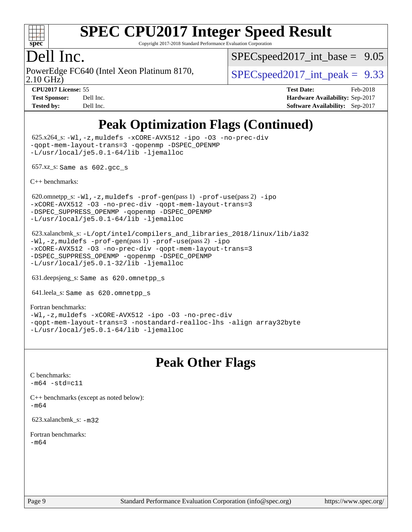

Copyright 2017-2018 Standard Performance Evaluation Corporation

### Dell Inc.

PowerEdge FC640 (Intel Xeon Platinum 8170,<br>2.10 GHz)

 $SPECspeed2017\_int\_base = 9.05$ 

 $SPECspeed2017\_int\_peak = 9.33$ 

**[CPU2017 License:](http://www.spec.org/auto/cpu2017/Docs/result-fields.html#CPU2017License)** 55 **[Test Date:](http://www.spec.org/auto/cpu2017/Docs/result-fields.html#TestDate)** Feb-2018 **[Test Sponsor:](http://www.spec.org/auto/cpu2017/Docs/result-fields.html#TestSponsor)** Dell Inc. **[Hardware Availability:](http://www.spec.org/auto/cpu2017/Docs/result-fields.html#HardwareAvailability)** Sep-2017 **[Tested by:](http://www.spec.org/auto/cpu2017/Docs/result-fields.html#Testedby)** Dell Inc. **[Software Availability:](http://www.spec.org/auto/cpu2017/Docs/result-fields.html#SoftwareAvailability)** Sep-2017

### **[Peak Optimization Flags \(Continued\)](http://www.spec.org/auto/cpu2017/Docs/result-fields.html#PeakOptimizationFlags)**

 625.x264\_s: [-Wl,-z,muldefs](http://www.spec.org/cpu2017/results/res2018q1/cpu2017-20180305-03813.flags.html#user_peakEXTRA_LDFLAGS625_x264_s_link_force_multiple1_b4cbdb97b34bdee9ceefcfe54f4c8ea74255f0b02a4b23e853cdb0e18eb4525ac79b5a88067c842dd0ee6996c24547a27a4b99331201badda8798ef8a743f577) [-xCORE-AVX512](http://www.spec.org/cpu2017/results/res2018q1/cpu2017-20180305-03813.flags.html#user_peakCOPTIMIZE625_x264_s_f-xCORE-AVX512) [-ipo](http://www.spec.org/cpu2017/results/res2018q1/cpu2017-20180305-03813.flags.html#user_peakCOPTIMIZE625_x264_s_f-ipo) [-O3](http://www.spec.org/cpu2017/results/res2018q1/cpu2017-20180305-03813.flags.html#user_peakCOPTIMIZE625_x264_s_f-O3) [-no-prec-div](http://www.spec.org/cpu2017/results/res2018q1/cpu2017-20180305-03813.flags.html#user_peakCOPTIMIZE625_x264_s_f-no-prec-div) [-qopt-mem-layout-trans=3](http://www.spec.org/cpu2017/results/res2018q1/cpu2017-20180305-03813.flags.html#user_peakCOPTIMIZE625_x264_s_f-qopt-mem-layout-trans_de80db37974c74b1f0e20d883f0b675c88c3b01e9d123adea9b28688d64333345fb62bc4a798493513fdb68f60282f9a726aa07f478b2f7113531aecce732043) [-qopenmp](http://www.spec.org/cpu2017/results/res2018q1/cpu2017-20180305-03813.flags.html#user_peakCOPTIMIZE625_x264_s_qopenmp_16be0c44f24f464004c6784a7acb94aca937f053568ce72f94b139a11c7c168634a55f6653758ddd83bcf7b8463e8028bb0b48b77bcddc6b78d5d95bb1df2967) [-DSPEC\\_OPENMP](http://www.spec.org/cpu2017/results/res2018q1/cpu2017-20180305-03813.flags.html#suite_peakCOPTIMIZE625_x264_s_DSPEC_OPENMP) [-L/usr/local/je5.0.1-64/lib](http://www.spec.org/cpu2017/results/res2018q1/cpu2017-20180305-03813.flags.html#user_peakEXTRA_LIBS625_x264_s_jemalloc_link_path64_4b10a636b7bce113509b17f3bd0d6226c5fb2346b9178c2d0232c14f04ab830f976640479e5c33dc2bcbbdad86ecfb6634cbbd4418746f06f368b512fced5394) [-ljemalloc](http://www.spec.org/cpu2017/results/res2018q1/cpu2017-20180305-03813.flags.html#user_peakEXTRA_LIBS625_x264_s_jemalloc_link_lib_d1249b907c500fa1c0672f44f562e3d0f79738ae9e3c4a9c376d49f265a04b9c99b167ecedbf6711b3085be911c67ff61f150a17b3472be731631ba4d0471706)

657.xz\_s: Same as 602.gcc\_s

[C++ benchmarks:](http://www.spec.org/auto/cpu2017/Docs/result-fields.html#CXXbenchmarks)

620.omnetpp\_s: $-W1$ ,-z,muldefs -prof-qen(pass 1) [-prof-use](http://www.spec.org/cpu2017/results/res2018q1/cpu2017-20180305-03813.flags.html#user_peakPASS2_CXXFLAGSPASS2_LDFLAGS620_omnetpp_s_prof_use_1a21ceae95f36a2b53c25747139a6c16ca95bd9def2a207b4f0849963b97e94f5260e30a0c64f4bb623698870e679ca08317ef8150905d41bd88c6f78df73f19)(pass 2) [-ipo](http://www.spec.org/cpu2017/results/res2018q1/cpu2017-20180305-03813.flags.html#user_peakPASS1_CXXOPTIMIZEPASS2_CXXOPTIMIZE620_omnetpp_s_f-ipo) [-xCORE-AVX512](http://www.spec.org/cpu2017/results/res2018q1/cpu2017-20180305-03813.flags.html#user_peakPASS2_CXXOPTIMIZE620_omnetpp_s_f-xCORE-AVX512) [-O3](http://www.spec.org/cpu2017/results/res2018q1/cpu2017-20180305-03813.flags.html#user_peakPASS1_CXXOPTIMIZEPASS2_CXXOPTIMIZE620_omnetpp_s_f-O3) [-no-prec-div](http://www.spec.org/cpu2017/results/res2018q1/cpu2017-20180305-03813.flags.html#user_peakPASS1_CXXOPTIMIZEPASS2_CXXOPTIMIZE620_omnetpp_s_f-no-prec-div) [-qopt-mem-layout-trans=3](http://www.spec.org/cpu2017/results/res2018q1/cpu2017-20180305-03813.flags.html#user_peakPASS1_CXXOPTIMIZEPASS2_CXXOPTIMIZE620_omnetpp_s_f-qopt-mem-layout-trans_de80db37974c74b1f0e20d883f0b675c88c3b01e9d123adea9b28688d64333345fb62bc4a798493513fdb68f60282f9a726aa07f478b2f7113531aecce732043) [-DSPEC\\_SUPPRESS\\_OPENMP](http://www.spec.org/cpu2017/results/res2018q1/cpu2017-20180305-03813.flags.html#suite_peakPASS1_CXXOPTIMIZE620_omnetpp_s_DSPEC_SUPPRESS_OPENMP) [-qopenmp](http://www.spec.org/cpu2017/results/res2018q1/cpu2017-20180305-03813.flags.html#user_peakPASS2_CXXOPTIMIZE620_omnetpp_s_qopenmp_16be0c44f24f464004c6784a7acb94aca937f053568ce72f94b139a11c7c168634a55f6653758ddd83bcf7b8463e8028bb0b48b77bcddc6b78d5d95bb1df2967) [-DSPEC\\_OPENMP](http://www.spec.org/cpu2017/results/res2018q1/cpu2017-20180305-03813.flags.html#suite_peakPASS2_CXXOPTIMIZE620_omnetpp_s_DSPEC_OPENMP) [-L/usr/local/je5.0.1-64/lib](http://www.spec.org/cpu2017/results/res2018q1/cpu2017-20180305-03813.flags.html#user_peakEXTRA_LIBS620_omnetpp_s_jemalloc_link_path64_4b10a636b7bce113509b17f3bd0d6226c5fb2346b9178c2d0232c14f04ab830f976640479e5c33dc2bcbbdad86ecfb6634cbbd4418746f06f368b512fced5394) [-ljemalloc](http://www.spec.org/cpu2017/results/res2018q1/cpu2017-20180305-03813.flags.html#user_peakEXTRA_LIBS620_omnetpp_s_jemalloc_link_lib_d1249b907c500fa1c0672f44f562e3d0f79738ae9e3c4a9c376d49f265a04b9c99b167ecedbf6711b3085be911c67ff61f150a17b3472be731631ba4d0471706)

 623.xalancbmk\_s: [-L/opt/intel/compilers\\_and\\_libraries\\_2018/linux/lib/ia32](http://www.spec.org/cpu2017/results/res2018q1/cpu2017-20180305-03813.flags.html#user_peakCXXLD623_xalancbmk_s_Enable-32bit-runtime_af243bdb1d79e4c7a4f720bf8275e627de2ecd461de63307bc14cef0633fde3cd7bb2facb32dcc8be9566045fb55d40ce2b72b725f73827aa7833441b71b9343) [-Wl,-z,muldefs](http://www.spec.org/cpu2017/results/res2018q1/cpu2017-20180305-03813.flags.html#user_peakEXTRA_LDFLAGS623_xalancbmk_s_link_force_multiple1_b4cbdb97b34bdee9ceefcfe54f4c8ea74255f0b02a4b23e853cdb0e18eb4525ac79b5a88067c842dd0ee6996c24547a27a4b99331201badda8798ef8a743f577) [-prof-gen](http://www.spec.org/cpu2017/results/res2018q1/cpu2017-20180305-03813.flags.html#user_peakPASS1_CXXFLAGSPASS1_LDFLAGS623_xalancbmk_s_prof_gen_5aa4926d6013ddb2a31985c654b3eb18169fc0c6952a63635c234f711e6e63dd76e94ad52365559451ec499a2cdb89e4dc58ba4c67ef54ca681ffbe1461d6b36)(pass 1) [-prof-use](http://www.spec.org/cpu2017/results/res2018q1/cpu2017-20180305-03813.flags.html#user_peakPASS2_CXXFLAGSPASS2_LDFLAGS623_xalancbmk_s_prof_use_1a21ceae95f36a2b53c25747139a6c16ca95bd9def2a207b4f0849963b97e94f5260e30a0c64f4bb623698870e679ca08317ef8150905d41bd88c6f78df73f19)(pass 2) [-ipo](http://www.spec.org/cpu2017/results/res2018q1/cpu2017-20180305-03813.flags.html#user_peakPASS1_CXXOPTIMIZEPASS2_CXXOPTIMIZE623_xalancbmk_s_f-ipo) [-xCORE-AVX512](http://www.spec.org/cpu2017/results/res2018q1/cpu2017-20180305-03813.flags.html#user_peakPASS2_CXXOPTIMIZE623_xalancbmk_s_f-xCORE-AVX512) [-O3](http://www.spec.org/cpu2017/results/res2018q1/cpu2017-20180305-03813.flags.html#user_peakPASS1_CXXOPTIMIZEPASS2_CXXOPTIMIZE623_xalancbmk_s_f-O3) [-no-prec-div](http://www.spec.org/cpu2017/results/res2018q1/cpu2017-20180305-03813.flags.html#user_peakPASS1_CXXOPTIMIZEPASS2_CXXOPTIMIZE623_xalancbmk_s_f-no-prec-div) [-qopt-mem-layout-trans=3](http://www.spec.org/cpu2017/results/res2018q1/cpu2017-20180305-03813.flags.html#user_peakPASS1_CXXOPTIMIZEPASS2_CXXOPTIMIZE623_xalancbmk_s_f-qopt-mem-layout-trans_de80db37974c74b1f0e20d883f0b675c88c3b01e9d123adea9b28688d64333345fb62bc4a798493513fdb68f60282f9a726aa07f478b2f7113531aecce732043) [-DSPEC\\_SUPPRESS\\_OPENMP](http://www.spec.org/cpu2017/results/res2018q1/cpu2017-20180305-03813.flags.html#suite_peakPASS1_CXXOPTIMIZE623_xalancbmk_s_DSPEC_SUPPRESS_OPENMP) [-qopenmp](http://www.spec.org/cpu2017/results/res2018q1/cpu2017-20180305-03813.flags.html#user_peakPASS2_CXXOPTIMIZE623_xalancbmk_s_qopenmp_16be0c44f24f464004c6784a7acb94aca937f053568ce72f94b139a11c7c168634a55f6653758ddd83bcf7b8463e8028bb0b48b77bcddc6b78d5d95bb1df2967) [-DSPEC\\_OPENMP](http://www.spec.org/cpu2017/results/res2018q1/cpu2017-20180305-03813.flags.html#suite_peakPASS2_CXXOPTIMIZE623_xalancbmk_s_DSPEC_OPENMP) [-L/usr/local/je5.0.1-32/lib](http://www.spec.org/cpu2017/results/res2018q1/cpu2017-20180305-03813.flags.html#user_peakEXTRA_LIBS623_xalancbmk_s_jemalloc_link_path32_e29f22e8e6c17053bbc6a0971f5a9c01a601a06bb1a59df2084b77a2fe0a2995b64fd4256feaeea39eeba3aae142e96e2b2b0a28974019c0c0c88139a84f900a) [-ljemalloc](http://www.spec.org/cpu2017/results/res2018q1/cpu2017-20180305-03813.flags.html#user_peakEXTRA_LIBS623_xalancbmk_s_jemalloc_link_lib_d1249b907c500fa1c0672f44f562e3d0f79738ae9e3c4a9c376d49f265a04b9c99b167ecedbf6711b3085be911c67ff61f150a17b3472be731631ba4d0471706)

631.deepsjeng\_s: Same as 620.omnetpp\_s

641.leela\_s: Same as 620.omnetpp\_s

[Fortran benchmarks](http://www.spec.org/auto/cpu2017/Docs/result-fields.html#Fortranbenchmarks): [-Wl,-z,muldefs](http://www.spec.org/cpu2017/results/res2018q1/cpu2017-20180305-03813.flags.html#user_FCpeak_link_force_multiple1_b4cbdb97b34bdee9ceefcfe54f4c8ea74255f0b02a4b23e853cdb0e18eb4525ac79b5a88067c842dd0ee6996c24547a27a4b99331201badda8798ef8a743f577) [-xCORE-AVX512](http://www.spec.org/cpu2017/results/res2018q1/cpu2017-20180305-03813.flags.html#user_FCpeak_f-xCORE-AVX512) [-ipo](http://www.spec.org/cpu2017/results/res2018q1/cpu2017-20180305-03813.flags.html#user_FCpeak_f-ipo) [-O3](http://www.spec.org/cpu2017/results/res2018q1/cpu2017-20180305-03813.flags.html#user_FCpeak_f-O3) [-no-prec-div](http://www.spec.org/cpu2017/results/res2018q1/cpu2017-20180305-03813.flags.html#user_FCpeak_f-no-prec-div) [-qopt-mem-layout-trans=3](http://www.spec.org/cpu2017/results/res2018q1/cpu2017-20180305-03813.flags.html#user_FCpeak_f-qopt-mem-layout-trans_de80db37974c74b1f0e20d883f0b675c88c3b01e9d123adea9b28688d64333345fb62bc4a798493513fdb68f60282f9a726aa07f478b2f7113531aecce732043) [-nostandard-realloc-lhs](http://www.spec.org/cpu2017/results/res2018q1/cpu2017-20180305-03813.flags.html#user_FCpeak_f_2003_std_realloc_82b4557e90729c0f113870c07e44d33d6f5a304b4f63d4c15d2d0f1fab99f5daaed73bdb9275d9ae411527f28b936061aa8b9c8f2d63842963b95c9dd6426b8a) [-align array32byte](http://www.spec.org/cpu2017/results/res2018q1/cpu2017-20180305-03813.flags.html#user_FCpeak_align_array32byte_b982fe038af199962ba9a80c053b8342c548c85b40b8e86eb3cc33dee0d7986a4af373ac2d51c3f7cf710a18d62fdce2948f201cd044323541f22fc0fffc51b6) [-L/usr/local/je5.0.1-64/lib](http://www.spec.org/cpu2017/results/res2018q1/cpu2017-20180305-03813.flags.html#user_FCpeak_jemalloc_link_path64_4b10a636b7bce113509b17f3bd0d6226c5fb2346b9178c2d0232c14f04ab830f976640479e5c33dc2bcbbdad86ecfb6634cbbd4418746f06f368b512fced5394) [-ljemalloc](http://www.spec.org/cpu2017/results/res2018q1/cpu2017-20180305-03813.flags.html#user_FCpeak_jemalloc_link_lib_d1249b907c500fa1c0672f44f562e3d0f79738ae9e3c4a9c376d49f265a04b9c99b167ecedbf6711b3085be911c67ff61f150a17b3472be731631ba4d0471706)

### **[Peak Other Flags](http://www.spec.org/auto/cpu2017/Docs/result-fields.html#PeakOtherFlags)**

[C benchmarks](http://www.spec.org/auto/cpu2017/Docs/result-fields.html#Cbenchmarks):  $-m64 - std= c11$  $-m64 - std= c11$ 

[C++ benchmarks \(except as noted below\):](http://www.spec.org/auto/cpu2017/Docs/result-fields.html#CXXbenchmarksexceptasnotedbelow) [-m64](http://www.spec.org/cpu2017/results/res2018q1/cpu2017-20180305-03813.flags.html#user_CXXpeak_intel_intel64_18.0_af43caccfc8ded86e7699f2159af6efc7655f51387b94da716254467f3c01020a5059329e2569e4053f409e7c9202a7efc638f7a6d1ffb3f52dea4a3e31d82ab)

623.xalancbmk\_s: [-m32](http://www.spec.org/cpu2017/results/res2018q1/cpu2017-20180305-03813.flags.html#user_peakCXXLD623_xalancbmk_s_intel_ia32_18.0_2666f1173eb60787016b673bfe1358e27016ef7649ea4884b7bc6187fd89dc221d14632e22638cde1c647a518de97358ab15d4ad098ee4e19a8b28d0c25e14bf)

[Fortran benchmarks](http://www.spec.org/auto/cpu2017/Docs/result-fields.html#Fortranbenchmarks): [-m64](http://www.spec.org/cpu2017/results/res2018q1/cpu2017-20180305-03813.flags.html#user_FCpeak_intel_intel64_18.0_af43caccfc8ded86e7699f2159af6efc7655f51387b94da716254467f3c01020a5059329e2569e4053f409e7c9202a7efc638f7a6d1ffb3f52dea4a3e31d82ab)